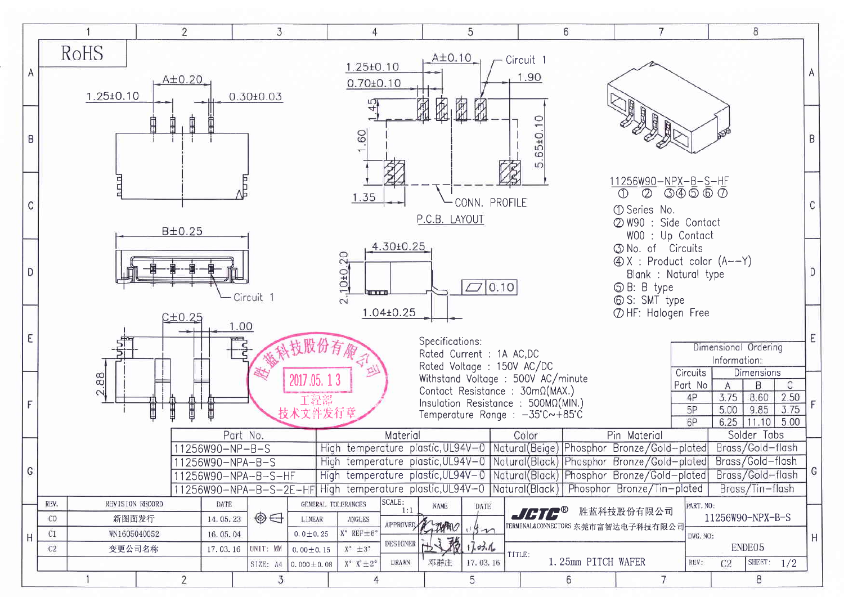|   |                        |                                                    | $\overline{2}$ |                                          | 3                    |                                             | $\overline{4}$                                                                                      |                                  |                                                                           | 5                      |                                                                                                                                                        | 6                       | $\overline{7}$                                                                                                                                                                                                                                                                                                                                                                                     |                                                                  |                                      | 8                                                                                             |    |
|---|------------------------|----------------------------------------------------|----------------|------------------------------------------|----------------------|---------------------------------------------|-----------------------------------------------------------------------------------------------------|----------------------------------|---------------------------------------------------------------------------|------------------------|--------------------------------------------------------------------------------------------------------------------------------------------------------|-------------------------|----------------------------------------------------------------------------------------------------------------------------------------------------------------------------------------------------------------------------------------------------------------------------------------------------------------------------------------------------------------------------------------------------|------------------------------------------------------------------|--------------------------------------|-----------------------------------------------------------------------------------------------|----|
| Α |                        | RoHS<br>$1.25 \pm 0.10$                            | $A\pm0.20$     |                                          | $0.30 \pm 0.03$      |                                             | 1.25±0.10<br>$0.70 \pm 0.10$                                                                        |                                  | $A\pm0.10$                                                                |                        | Circuit <sub>1</sub><br>1.90                                                                                                                           |                         |                                                                                                                                                                                                                                                                                                                                                                                                    |                                                                  |                                      |                                                                                               | A  |
| B |                        |                                                    |                |                                          |                      |                                             | 60                                                                                                  |                                  | 圆圆                                                                        | 尿                      | $\overline{10}$<br>65±0.<br>$\overline{10}$                                                                                                            |                         |                                                                                                                                                                                                                                                                                                                                                                                                    |                                                                  |                                      |                                                                                               | B  |
| C |                        |                                                    | B±0.25         |                                          |                      |                                             | 1.35                                                                                                |                                  | P.C.B. LAYOUT                                                             | CONN. PROFILE          |                                                                                                                                                        |                         | 11256W90-NPX-B-S-HF<br>$\circledcirc$<br>$\circled{1}$<br>① Series No.<br>2 W90 : Side Contact                                                                                                                                                                                                                                                                                                     | $\overline{\circledcirc} \circledcirc \circledcirc \circledcirc$ |                                      |                                                                                               | C  |
| D |                        |                                                    |                |                                          | Circuit 1            |                                             | 2.10+0.20                                                                                           | 4.30±0.25                        |                                                                           | $\Box$ 0.10            |                                                                                                                                                        |                         | W00 : Up Contact<br><b>5 No. of Circuits</b><br>$\textcircled{4}$ X : Product color (A--Y)<br>Blank : Natural type<br><b>SB</b> : B type<br><b>6</b> S: SMT type                                                                                                                                                                                                                                   |                                                                  |                                      |                                                                                               | D  |
| E |                        |                                                    | 2±0.25         | 1.00                                     |                      |                                             | 1.04±0.25<br>다                                                                                      |                                  | Specifications:<br>Rated Current : 1A AC,DC<br>Rated Voltage : 150V AC/DC |                        |                                                                                                                                                        |                         | THF: Halogen Free                                                                                                                                                                                                                                                                                                                                                                                  |                                                                  | Dimensional Ordering<br>Information: |                                                                                               | E  |
| F |                        | 2.88                                               |                | Part No.                                 |                      | 2017,05, 13<br>工装器<br>技术文件发行章               |                                                                                                     | Material                         |                                                                           |                        | Withstand Voltage : 500V AC/minute<br>Contact Resistance : 30mΩ(MAX.)<br>Insulation Resistance : 500MΩ(MIN.)<br>Temperature Range : -35℃~+85℃<br>Color |                         | Pin Material                                                                                                                                                                                                                                                                                                                                                                                       | Circuits<br>Part No<br>4P<br>5P<br>6P                            | $\mathsf{A}$<br>3.75<br>5.00<br>6.25 | Dimensions<br>B<br>$\mathsf C$<br>2.50<br>8.60<br>9.85<br>3.75<br>$11.10$ 5.00<br>Solder Tabs |    |
| G |                        |                                                    |                | 11256W90-NP-B-S<br>11256W90-NPA-B-S      | 11256W90-NPA-B-S-HF  |                                             |                                                                                                     |                                  |                                                                           |                        |                                                                                                                                                        |                         | High temperature plastic, UL94V-0   Natural (Beige)   Phosphor Bronze/Gold-plated  <br>High temperature plastic, UL94V-0 Natural (Black) Phosphor Bronze / Gold-plated Brass / Gold-flash<br>High temperature plastic, UL94V-0 Natural (Black) Phosphor Bronze/Gold-plated Brass/Gold-flash<br>11256W90-NPA-B-S-2E-HF High temperature plastic, UL94V-0 Natural (Black) Phosphor Bronze/Tin-plated |                                                                  |                                      | Brass/Gold-flash<br>Brass/Tin-flash                                                           | ΙU |
| Η | REV.<br>CO<br>C1<br>C2 | REVISION RECORD<br>新图面发行<br>WN1605040052<br>变更公司名称 |                | DATE<br>14.05.23<br>16.05.04<br>17.03.16 | $\oplus$<br>UNIT: MM | LINEAR<br>$0.0 \pm 0.25$<br>$0.00 \pm 0.15$ | GENERAL TOLERANCES<br><b>ANGLES</b><br>$X^{\circ}$ REF $\pm 6^{\circ}$<br>$X^{\circ} \pm 3^{\circ}$ | SCALE:<br>1:1<br><b>DESIGNER</b> | <b>NAME</b><br>APPROVED CHARRO<br>这鹅<br>$\mathbb{R}$                      | DATE<br>15n<br>17.0316 | TITLE:                                                                                                                                                 |                         | <b>JCTC<sup>®</sup> 胜蓝科技股份有限公司</b><br>TERMINALACONNECTORS 东莞市富智达电子科技有限公司                                                                                                                                                                                                                                                                                                                           | PART. NO:<br>DWG. NO:                                            |                                      | 11256W90-NPX-B-S<br>ENDE05                                                                    | H  |
|   |                        |                                                    | $\overline{2}$ |                                          | 3                    | SIZE: $M   0.000 \pm 0.08$                  | $X^{\circ}$ $X^{\prime} \pm 2^{\circ}$<br>4                                                         | <b>DRAWN</b>                     | 邓群庄                                                                       | 17.03.16<br>5          |                                                                                                                                                        | 1.25mm PITCH WAFER<br>6 | $\overline{7}$                                                                                                                                                                                                                                                                                                                                                                                     | REV:                                                             | C2                                   | SHEET: $1/2$<br>8                                                                             |    |